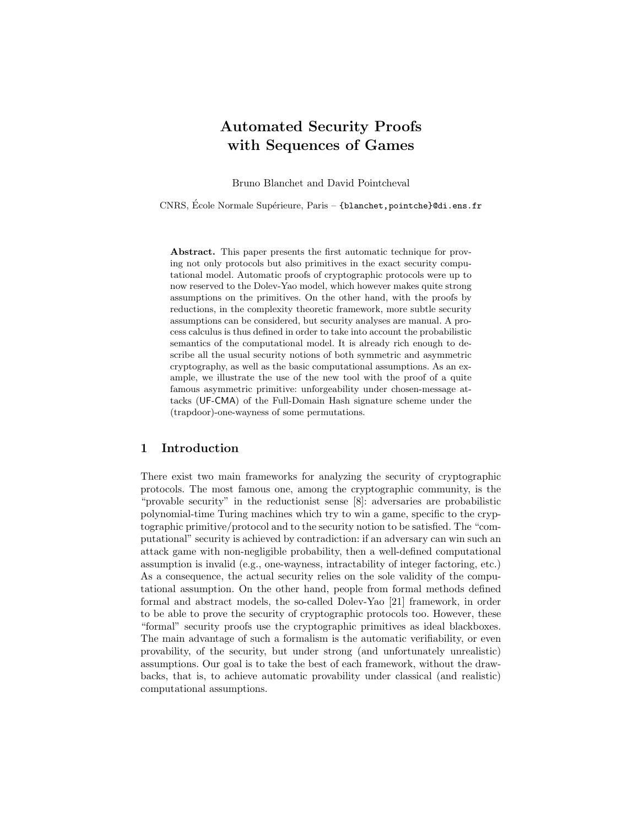# Automated Security Proofs with Sequences of Games

Bruno Blanchet and David Pointcheval

CNRS, École Normale Supérieure, Paris - {blanchet, pointche}@di.ens.fr

Abstract. This paper presents the first automatic technique for proving not only protocols but also primitives in the exact security computational model. Automatic proofs of cryptographic protocols were up to now reserved to the Dolev-Yao model, which however makes quite strong assumptions on the primitives. On the other hand, with the proofs by reductions, in the complexity theoretic framework, more subtle security assumptions can be considered, but security analyses are manual. A process calculus is thus defined in order to take into account the probabilistic semantics of the computational model. It is already rich enough to describe all the usual security notions of both symmetric and asymmetric cryptography, as well as the basic computational assumptions. As an example, we illustrate the use of the new tool with the proof of a quite famous asymmetric primitive: unforgeability under chosen-message attacks (UF-CMA) of the Full-Domain Hash signature scheme under the (trapdoor)-one-wayness of some permutations.

# 1 Introduction

There exist two main frameworks for analyzing the security of cryptographic protocols. The most famous one, among the cryptographic community, is the "provable security" in the reductionist sense [8]: adversaries are probabilistic polynomial-time Turing machines which try to win a game, specific to the cryptographic primitive/protocol and to the security notion to be satisfied. The "computational" security is achieved by contradiction: if an adversary can win such an attack game with non-negligible probability, then a well-defined computational assumption is invalid (e.g., one-wayness, intractability of integer factoring, etc.) As a consequence, the actual security relies on the sole validity of the computational assumption. On the other hand, people from formal methods defined formal and abstract models, the so-called Dolev-Yao [21] framework, in order to be able to prove the security of cryptographic protocols too. However, these "formal" security proofs use the cryptographic primitives as ideal blackboxes. The main advantage of such a formalism is the automatic verifiability, or even provability, of the security, but under strong (and unfortunately unrealistic) assumptions. Our goal is to take the best of each framework, without the drawbacks, that is, to achieve automatic provability under classical (and realistic) computational assumptions.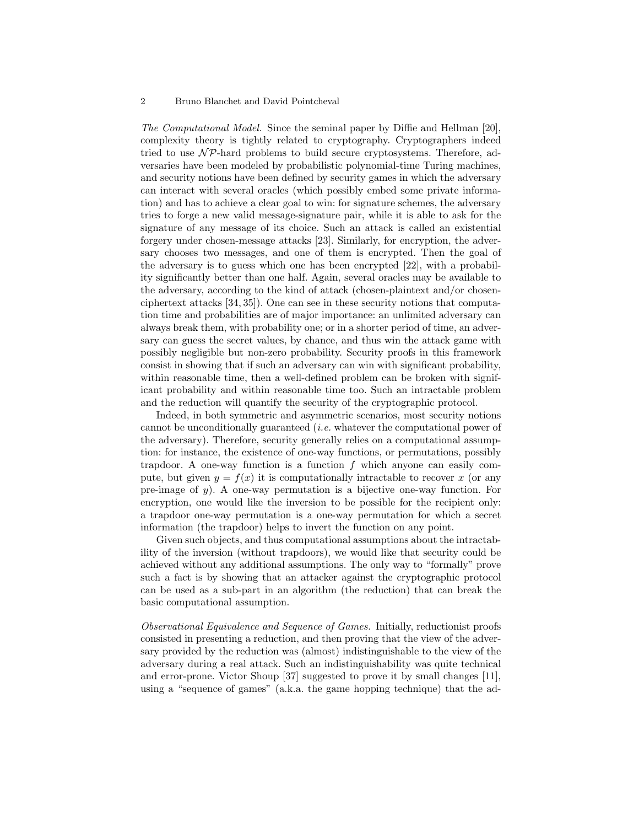The Computational Model. Since the seminal paper by Diffie and Hellman [20], complexity theory is tightly related to cryptography. Cryptographers indeed tried to use  $\mathcal{NP}$ -hard problems to build secure cryptosystems. Therefore, adversaries have been modeled by probabilistic polynomial-time Turing machines, and security notions have been defined by security games in which the adversary can interact with several oracles (which possibly embed some private information) and has to achieve a clear goal to win: for signature schemes, the adversary tries to forge a new valid message-signature pair, while it is able to ask for the signature of any message of its choice. Such an attack is called an existential forgery under chosen-message attacks [23]. Similarly, for encryption, the adversary chooses two messages, and one of them is encrypted. Then the goal of the adversary is to guess which one has been encrypted [22], with a probability significantly better than one half. Again, several oracles may be available to the adversary, according to the kind of attack (chosen-plaintext and/or chosenciphertext attacks [34, 35]). One can see in these security notions that computation time and probabilities are of major importance: an unlimited adversary can always break them, with probability one; or in a shorter period of time, an adversary can guess the secret values, by chance, and thus win the attack game with possibly negligible but non-zero probability. Security proofs in this framework consist in showing that if such an adversary can win with significant probability, within reasonable time, then a well-defined problem can be broken with significant probability and within reasonable time too. Such an intractable problem and the reduction will quantify the security of the cryptographic protocol.

Indeed, in both symmetric and asymmetric scenarios, most security notions cannot be unconditionally guaranteed (i.e. whatever the computational power of the adversary). Therefore, security generally relies on a computational assumption: for instance, the existence of one-way functions, or permutations, possibly trapdoor. A one-way function is a function  $f$  which anyone can easily compute, but given  $y = f(x)$  it is computationally intractable to recover x (or any pre-image of y). A one-way permutation is a bijective one-way function. For encryption, one would like the inversion to be possible for the recipient only: a trapdoor one-way permutation is a one-way permutation for which a secret information (the trapdoor) helps to invert the function on any point.

Given such objects, and thus computational assumptions about the intractability of the inversion (without trapdoors), we would like that security could be achieved without any additional assumptions. The only way to "formally" prove such a fact is by showing that an attacker against the cryptographic protocol can be used as a sub-part in an algorithm (the reduction) that can break the basic computational assumption.

Observational Equivalence and Sequence of Games. Initially, reductionist proofs consisted in presenting a reduction, and then proving that the view of the adversary provided by the reduction was (almost) indistinguishable to the view of the adversary during a real attack. Such an indistinguishability was quite technical and error-prone. Victor Shoup [37] suggested to prove it by small changes [11], using a "sequence of games" (a.k.a. the game hopping technique) that the ad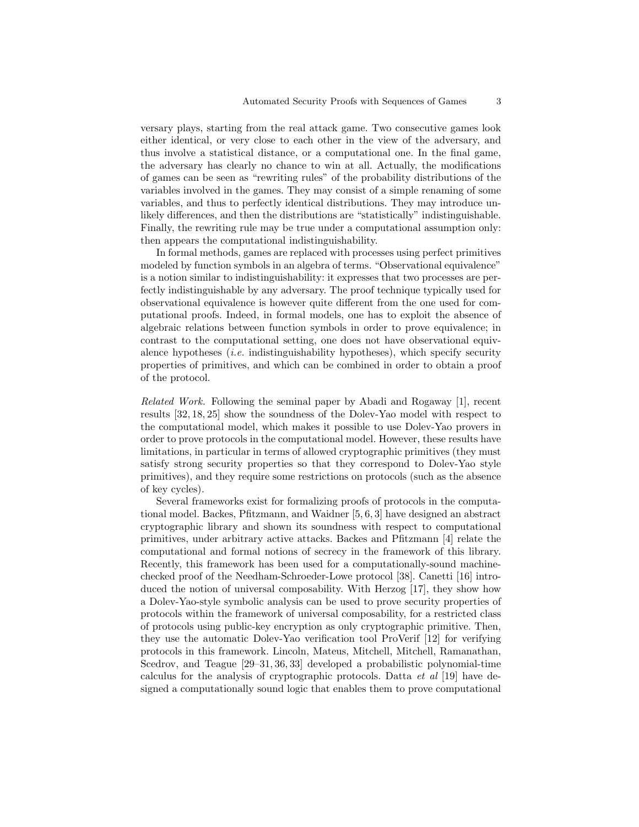versary plays, starting from the real attack game. Two consecutive games look either identical, or very close to each other in the view of the adversary, and thus involve a statistical distance, or a computational one. In the final game, the adversary has clearly no chance to win at all. Actually, the modifications of games can be seen as "rewriting rules" of the probability distributions of the variables involved in the games. They may consist of a simple renaming of some variables, and thus to perfectly identical distributions. They may introduce unlikely differences, and then the distributions are "statistically" indistinguishable. Finally, the rewriting rule may be true under a computational assumption only: then appears the computational indistinguishability.

In formal methods, games are replaced with processes using perfect primitives modeled by function symbols in an algebra of terms. "Observational equivalence" is a notion similar to indistinguishability: it expresses that two processes are perfectly indistinguishable by any adversary. The proof technique typically used for observational equivalence is however quite different from the one used for computational proofs. Indeed, in formal models, one has to exploit the absence of algebraic relations between function symbols in order to prove equivalence; in contrast to the computational setting, one does not have observational equivalence hypotheses  $(i.e.$  indistinguishability hypotheses), which specify security properties of primitives, and which can be combined in order to obtain a proof of the protocol.

Related Work. Following the seminal paper by Abadi and Rogaway [1], recent results [32, 18, 25] show the soundness of the Dolev-Yao model with respect to the computational model, which makes it possible to use Dolev-Yao provers in order to prove protocols in the computational model. However, these results have limitations, in particular in terms of allowed cryptographic primitives (they must satisfy strong security properties so that they correspond to Dolev-Yao style primitives), and they require some restrictions on protocols (such as the absence of key cycles).

Several frameworks exist for formalizing proofs of protocols in the computational model. Backes, Pfitzmann, and Waidner [5, 6, 3] have designed an abstract cryptographic library and shown its soundness with respect to computational primitives, under arbitrary active attacks. Backes and Pfitzmann [4] relate the computational and formal notions of secrecy in the framework of this library. Recently, this framework has been used for a computationally-sound machinechecked proof of the Needham-Schroeder-Lowe protocol [38]. Canetti [16] introduced the notion of universal composability. With Herzog [17], they show how a Dolev-Yao-style symbolic analysis can be used to prove security properties of protocols within the framework of universal composability, for a restricted class of protocols using public-key encryption as only cryptographic primitive. Then, they use the automatic Dolev-Yao verification tool ProVerif [12] for verifying protocols in this framework. Lincoln, Mateus, Mitchell, Mitchell, Ramanathan, Scedrov, and Teague [29–31, 36, 33] developed a probabilistic polynomial-time calculus for the analysis of cryptographic protocols. Datta et al [19] have designed a computationally sound logic that enables them to prove computational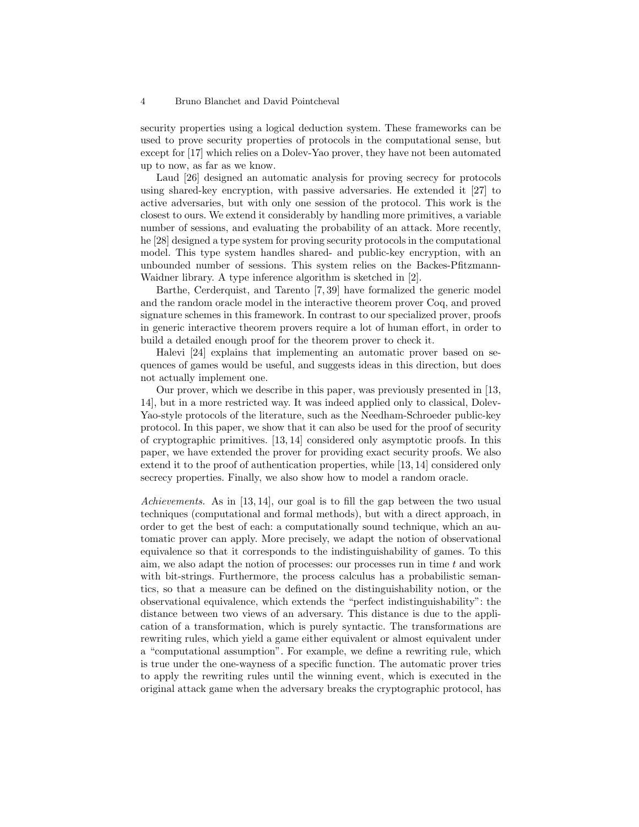security properties using a logical deduction system. These frameworks can be used to prove security properties of protocols in the computational sense, but except for [17] which relies on a Dolev-Yao prover, they have not been automated up to now, as far as we know.

Laud [26] designed an automatic analysis for proving secrecy for protocols using shared-key encryption, with passive adversaries. He extended it [27] to active adversaries, but with only one session of the protocol. This work is the closest to ours. We extend it considerably by handling more primitives, a variable number of sessions, and evaluating the probability of an attack. More recently, he [28] designed a type system for proving security protocols in the computational model. This type system handles shared- and public-key encryption, with an unbounded number of sessions. This system relies on the Backes-Pfitzmann-Waidner library. A type inference algorithm is sketched in [2].

Barthe, Cerderquist, and Tarento [7, 39] have formalized the generic model and the random oracle model in the interactive theorem prover Coq, and proved signature schemes in this framework. In contrast to our specialized prover, proofs in generic interactive theorem provers require a lot of human effort, in order to build a detailed enough proof for the theorem prover to check it.

Halevi [24] explains that implementing an automatic prover based on sequences of games would be useful, and suggests ideas in this direction, but does not actually implement one.

Our prover, which we describe in this paper, was previously presented in [13, 14], but in a more restricted way. It was indeed applied only to classical, Dolev-Yao-style protocols of the literature, such as the Needham-Schroeder public-key protocol. In this paper, we show that it can also be used for the proof of security of cryptographic primitives. [13, 14] considered only asymptotic proofs. In this paper, we have extended the prover for providing exact security proofs. We also extend it to the proof of authentication properties, while [13, 14] considered only secrecy properties. Finally, we also show how to model a random oracle.

Achievements. As in [13, 14], our goal is to fill the gap between the two usual techniques (computational and formal methods), but with a direct approach, in order to get the best of each: a computationally sound technique, which an automatic prover can apply. More precisely, we adapt the notion of observational equivalence so that it corresponds to the indistinguishability of games. To this aim, we also adapt the notion of processes: our processes run in time  $t$  and work with bit-strings. Furthermore, the process calculus has a probabilistic semantics, so that a measure can be defined on the distinguishability notion, or the observational equivalence, which extends the "perfect indistinguishability": the distance between two views of an adversary. This distance is due to the application of a transformation, which is purely syntactic. The transformations are rewriting rules, which yield a game either equivalent or almost equivalent under a "computational assumption". For example, we define a rewriting rule, which is true under the one-wayness of a specific function. The automatic prover tries to apply the rewriting rules until the winning event, which is executed in the original attack game when the adversary breaks the cryptographic protocol, has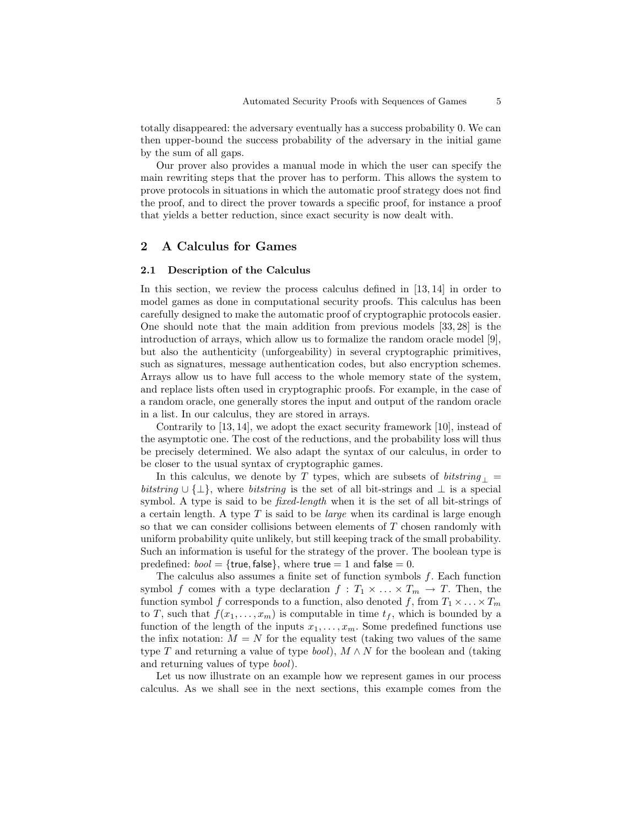totally disappeared: the adversary eventually has a success probability 0. We can then upper-bound the success probability of the adversary in the initial game by the sum of all gaps.

Our prover also provides a manual mode in which the user can specify the main rewriting steps that the prover has to perform. This allows the system to prove protocols in situations in which the automatic proof strategy does not find the proof, and to direct the prover towards a specific proof, for instance a proof that yields a better reduction, since exact security is now dealt with.

# 2 A Calculus for Games

#### 2.1 Description of the Calculus

In this section, we review the process calculus defined in [13, 14] in order to model games as done in computational security proofs. This calculus has been carefully designed to make the automatic proof of cryptographic protocols easier. One should note that the main addition from previous models [33, 28] is the introduction of arrays, which allow us to formalize the random oracle model [9], but also the authenticity (unforgeability) in several cryptographic primitives, such as signatures, message authentication codes, but also encryption schemes. Arrays allow us to have full access to the whole memory state of the system, and replace lists often used in cryptographic proofs. For example, in the case of a random oracle, one generally stores the input and output of the random oracle in a list. In our calculus, they are stored in arrays.

Contrarily to [13, 14], we adopt the exact security framework [10], instead of the asymptotic one. The cost of the reductions, and the probability loss will thus be precisely determined. We also adapt the syntax of our calculus, in order to be closer to the usual syntax of cryptographic games.

In this calculus, we denote by T types, which are subsets of bitstring  $\perp$  = bitstring ∪ { $\perp$ }, where bitstring is the set of all bit-strings and  $\perp$  is a special symbol. A type is said to be *fixed-length* when it is the set of all bit-strings of a certain length. A type  $T$  is said to be *large* when its cardinal is large enough so that we can consider collisions between elements of T chosen randomly with uniform probability quite unlikely, but still keeping track of the small probability. Such an information is useful for the strategy of the prover. The boolean type is predefined:  $bool = \{true, false\}$ , where true = 1 and false = 0.

The calculus also assumes a finite set of function symbols  $f$ . Each function symbol f comes with a type declaration  $f: T_1 \times ... \times T_m \to T$ . Then, the function symbol f corresponds to a function, also denoted f, from  $T_1 \times \ldots \times T_m$ to T, such that  $f(x_1, \ldots, x_m)$  is computable in time  $t_f$ , which is bounded by a function of the length of the inputs  $x_1, \ldots, x_m$ . Some predefined functions use the infix notation:  $M = N$  for the equality test (taking two values of the same type T and returning a value of type *bool*),  $M \wedge N$  for the boolean and (taking and returning values of type bool).

Let us now illustrate on an example how we represent games in our process calculus. As we shall see in the next sections, this example comes from the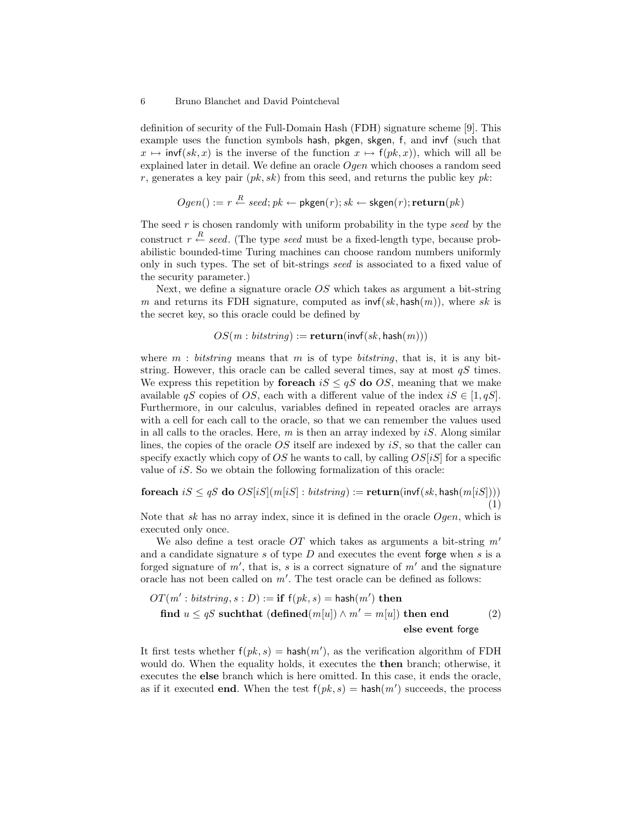definition of security of the Full-Domain Hash (FDH) signature scheme [9]. This example uses the function symbols hash, pkgen, skgen, f, and invf (such that  $x \mapsto \text{invf}(sk, x)$  is the inverse of the function  $x \mapsto f(pk, x)$ , which will all be explained later in detail. We define an oracle  $Ogen$  which chooses a random seed r, generates a key pair  $(pk, sk)$  from this seed, and returns the public key  $pk$ .

$$
Ogen():= r \stackrel{R}{\leftarrow} seed; pk \leftarrow pkgen(r); sk \leftarrow skgen(r); \textbf{return}(pk)
$$

The seed  $r$  is chosen randomly with uniform probability in the type seed by the construct  $r \stackrel{R}{\leftarrow} seed$ . (The type seed must be a fixed-length type, because probabilistic bounded-time Turing machines can choose random numbers uniformly only in such types. The set of bit-strings seed is associated to a fixed value of the security parameter.)

Next, we define a signature oracle OS which takes as argument a bit-string m and returns its FDH signature, computed as  $\text{invf}(sk, \text{hash}(m))$ , where sk is the secret key, so this oracle could be defined by

$$
OS(m: \text{bitstring}) := \text{return}(\text{invf}(\textit{sk}, \text{hash}(m)))
$$

where  $m$ : bitstring means that m is of type bitstring, that is, it is any bitstring. However, this oracle can be called several times, say at most  $qS$  times. We express this repetition by **foreach** iS  $\leq qS$  do OS, meaning that we make available qS copies of OS, each with a different value of the index  $iS \in [1, qS]$ . Furthermore, in our calculus, variables defined in repeated oracles are arrays with a cell for each call to the oracle, so that we can remember the values used in all calls to the oracles. Here,  $m$  is then an array indexed by *iS*. Along similar lines, the copies of the oracle  $OS$  itself are indexed by  $iS$ , so that the caller can specify exactly which copy of  $OS$  he wants to call, by calling  $OS[iS]$  for a specific value of  $iS$ . So we obtain the following formalization of this oracle:

foreach  $iS \le qS$  do  $OS[iS](m[iS] : bitstring) := \textbf{return}(\text{invf}(sk, \text{hash}(m[iS]))$ (1)

Note that sk has no array index, since it is defined in the oracle  $Ogen$ , which is executed only once.

We also define a test oracle  $OT$  which takes as arguments a bit-string  $m'$ and a candidate signature s of type  $D$  and executes the event forge when s is a forged signature of  $m'$ , that is, s is a correct signature of  $m'$  and the signature oracle has not been called on  $m'$ . The test oracle can be defined as follows:

$$
OT(m': bitstring, s: D) := \textbf{if } f(pk, s) = \text{hash}(m') \textbf{ then}
$$
  
find  $u \leq qS$  such that  $(\text{defined}(m[u]) \land m' = m[u])$  then end  
else event forge

It first tests whether  $f(pk, s) = hash(m')$ , as the verification algorithm of FDH would do. When the equality holds, it executes the **then** branch; otherwise, it executes the else branch which is here omitted. In this case, it ends the oracle, as if it executed **end**. When the test  $f(pk, s) = hash(m')$  succeeds, the process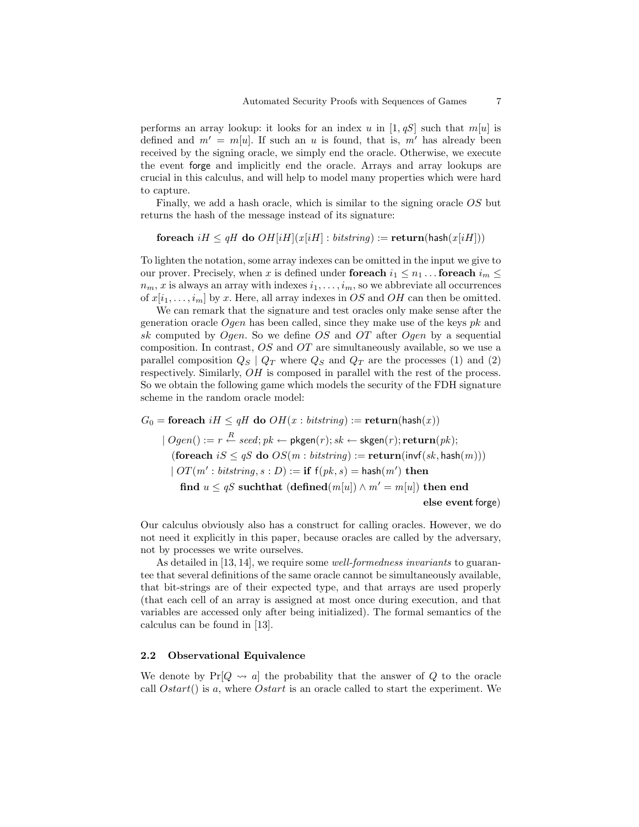performs an array lookup: it looks for an index u in  $[1, qS]$  such that  $m[u]$  is defined and  $m' = m[u]$ . If such an u is found, that is, m' has already been received by the signing oracle, we simply end the oracle. Otherwise, we execute the event forge and implicitly end the oracle. Arrays and array lookups are crucial in this calculus, and will help to model many properties which were hard to capture.

Finally, we add a hash oracle, which is similar to the signing oracle OS but returns the hash of the message instead of its signature:

foreach  $iH \leq qH$  do  $OH[iH](x[iH] : bitstring) := \text{return}(\text{hash}(x[iH]))$ 

To lighten the notation, some array indexes can be omitted in the input we give to our prover. Precisely, when x is defined under foreach  $i_1 \leq n_1 \dots$  foreach  $i_m \leq$  $n_m$ , x is always an array with indexes  $i_1, \ldots, i_m$ , so we abbreviate all occurrences of  $x[i_1, \ldots, i_m]$  by x. Here, all array indexes in OS and OH can then be omitted.

We can remark that the signature and test oracles only make sense after the generation oracle  $Ogen$  has been called, since they make use of the keys  $pk$  and sk computed by Ogen. So we define OS and OT after Ogen by a sequential composition. In contrast, OS and OT are simultaneously available, so we use a parallel composition  $Q_S \mid Q_T$  where  $Q_S$  and  $Q_T$  are the processes (1) and (2) respectively. Similarly,  $OH$  is composed in parallel with the rest of the process. So we obtain the following game which models the security of the FDH signature scheme in the random oracle model:

$$
G_0 = \textbf{foreach } iH \leq qH \textbf{ do } OH(x : bitstring) := \textbf{return(hash}(x))
$$
\n
$$
|\text{Ogen}|) := r \xleftarrow{R} seed; pk \leftarrow \text{pkgen}(r); sk \leftarrow \text{skgen}(r); \textbf{return}(pk);
$$
\n
$$
(\textbf{foreach } iS \leq qS \textbf{ do } OS(m : bitstring) := \textbf{return}(\text{invf}(sk, \text{hash}(m)))
$$
\n
$$
|\text{OT}(m' : bitstring, s : D) := \textbf{if } f(pk, s) = \text{hash}(m') \textbf{ then}
$$
\n
$$
\textbf{find } u \leq qS \textbf{ such that } (\textbf{defined}(m[u]) \wedge m' = m[u]) \textbf{ then end}
$$
\n
$$
\textbf{else } \textbf{event forge})
$$

Our calculus obviously also has a construct for calling oracles. However, we do not need it explicitly in this paper, because oracles are called by the adversary, not by processes we write ourselves.

As detailed in [13, 14], we require some *well-formedness invariants* to guarantee that several definitions of the same oracle cannot be simultaneously available, that bit-strings are of their expected type, and that arrays are used properly (that each cell of an array is assigned at most once during execution, and that variables are accessed only after being initialized). The formal semantics of the calculus can be found in [13].

## 2.2 Observational Equivalence

We denote by  $Pr[Q \leadsto a]$  the probability that the answer of Q to the oracle call  $Ostart()$  is a, where  $Ostart$  is an oracle called to start the experiment. We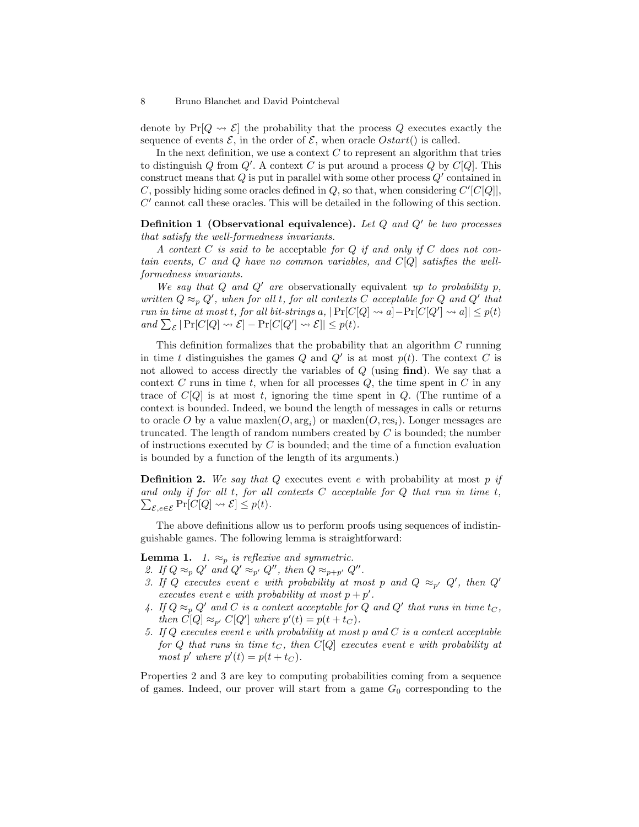denote by  $Pr[Q \leadsto \mathcal{E}]$  the probability that the process Q executes exactly the sequence of events  $\mathcal{E}$ , in the order of  $\mathcal{E}$ , when oracle  $Ostart()$  is called.

In the next definition, we use a context  $C$  to represent an algorithm that tries to distinguish Q from  $Q'$ . A context C is put around a process Q by  $C[Q]$ . This construct means that  $Q$  is put in parallel with some other process  $Q'$  contained in C, possibly hiding some oracles defined in  $Q$ , so that, when considering  $C'[C[Q]]$ ,  $C'$  cannot call these oracles. This will be detailed in the following of this section.

Definition 1 (Observational equivalence). Let  $Q$  and  $Q'$  be two processes that satisfy the well-formedness invariants.

A context C is said to be acceptable for Q if and only if C does not contain events, C and Q have no common variables, and C[Q] satisfies the wellformedness invariants.

We say that  $Q$  and  $Q'$  are observationally equivalent up to probability p, written  $Q \approx_p Q'$ , when for all t, for all contexts C acceptable for Q and Q' that run in time at most t, for all bit-strings a,  $|\Pr[C[Q] \leadsto a] - \Pr[C[Q'] \leadsto a]| \leq p(t)$ and  $\sum_{\mathcal{E}} |Pr[C[Q] \leadsto \mathcal{E}] - Pr[C[Q'] \leadsto \mathcal{E}]| \leq p(t).$ 

This definition formalizes that the probability that an algorithm C running in time t distinguishes the games Q and  $Q'$  is at most  $p(t)$ . The context C is not allowed to access directly the variables of  $Q$  (using  $find$ ). We say that a context C runs in time t, when for all processes  $Q$ , the time spent in C in any trace of  $C[Q]$  is at most t, ignoring the time spent in Q. (The runtime of a context is bounded. Indeed, we bound the length of messages in calls or returns to oracle O by a value  $\text{maxlen}(O, \text{arg}_i)$  or  $\text{maxlen}(O, \text{res}_i)$ . Longer messages are truncated. The length of random numbers created by  $C$  is bounded; the number of instructions executed by C is bounded; and the time of a function evaluation is bounded by a function of the length of its arguments.)

**Definition 2.** We say that Q executes event e with probability at most p if  $\sum_{\mathcal{E}, e \in \mathcal{E}} \Pr[C[Q] \leadsto \mathcal{E}] \leq p(t).$ and only if for all t, for all contexts  $C$  acceptable for  $Q$  that run in time t,

The above definitions allow us to perform proofs using sequences of indistinguishable games. The following lemma is straightforward:

**Lemma 1.** 1.  $\approx_p$  is reflexive and symmetric.

- 2. If  $Q \approx_p Q'$  and  $Q' \approx_{p'} Q''$ , then  $Q \approx_{p+p'} Q''$ .
- 3. If Q executes event e with probability at most p and  $Q \approx_{p'} Q'$ , then  $Q'$ executes event  $e$  with probability at most  $p + p'$ .
- 4. If  $Q \approx_{p} Q'$  and C is a context acceptable for Q and Q' that runs in time  $t_C$ , then  $\dot{C}[Q] \approx_{p'} C[Q']$  where  $p'(t) = p(t + t_C)$ .
- 5. If Q executes event e with probability at most p and C is a context acceptable for Q that runs in time  $t<sub>C</sub>$ , then  $C[Q]$  executes event e with probability at most p' where  $p'(t) = p(t + t_C)$ .

Properties 2 and 3 are key to computing probabilities coming from a sequence of games. Indeed, our prover will start from a game  $G_0$  corresponding to the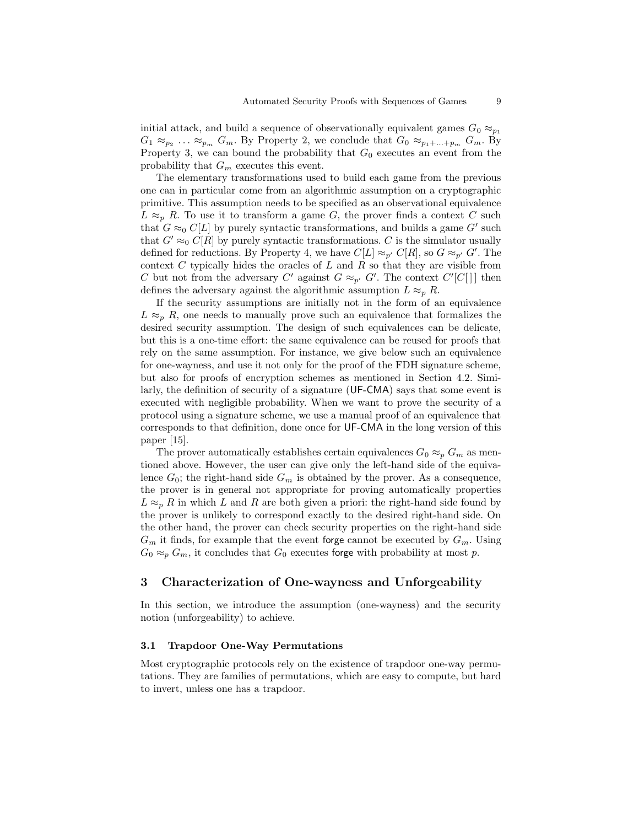initial attack, and build a sequence of observationally equivalent games  $G_0 \approx_{p_1}$  $G_1 \approx_{p_2} \ldots \approx_{p_m} G_m$ . By Property 2, we conclude that  $G_0 \approx_{p_1 + \ldots + p_m} G_m$ . By Property 3, we can bound the probability that  $G_0$  executes an event from the probability that  $G_m$  executes this event.

The elementary transformations used to build each game from the previous one can in particular come from an algorithmic assumption on a cryptographic primitive. This assumption needs to be specified as an observational equivalence  $L \approx_p R$ . To use it to transform a game G, the prover finds a context C such that  $G \approx_0 C[L]$  by purely syntactic transformations, and builds a game  $G'$  such that  $G' \approx_0 C[R]$  by purely syntactic transformations. C is the simulator usually defined for reductions. By Property 4, we have  $C[L] \approx_{p'} C[R]$ , so  $G \approx_{p'} G'$ . The context  $C$  typically hides the oracles of  $L$  and  $R$  so that they are visible from C but not from the adversary C' against  $G \approx_{p'} G'$ . The context  $C'[C]]$  then defines the adversary against the algorithmic assumption  $L \approx_{p} R$ .

If the security assumptions are initially not in the form of an equivalence  $L \approx_{p} R$ , one needs to manually prove such an equivalence that formalizes the desired security assumption. The design of such equivalences can be delicate, but this is a one-time effort: the same equivalence can be reused for proofs that rely on the same assumption. For instance, we give below such an equivalence for one-wayness, and use it not only for the proof of the FDH signature scheme, but also for proofs of encryption schemes as mentioned in Section 4.2. Similarly, the definition of security of a signature (UF-CMA) says that some event is executed with negligible probability. When we want to prove the security of a protocol using a signature scheme, we use a manual proof of an equivalence that corresponds to that definition, done once for UF-CMA in the long version of this paper [15].

The prover automatically establishes certain equivalences  $G_0 \approx_p G_m$  as mentioned above. However, the user can give only the left-hand side of the equivalence  $G_0$ ; the right-hand side  $G_m$  is obtained by the prover. As a consequence, the prover is in general not appropriate for proving automatically properties  $L \approx_{p} R$  in which L and R are both given a priori: the right-hand side found by the prover is unlikely to correspond exactly to the desired right-hand side. On the other hand, the prover can check security properties on the right-hand side  $G_m$  it finds, for example that the event forge cannot be executed by  $G_m$ . Using  $G_0 \approx_p G_m$ , it concludes that  $G_0$  executes forge with probability at most p.

# 3 Characterization of One-wayness and Unforgeability

In this section, we introduce the assumption (one-wayness) and the security notion (unforgeability) to achieve.

## 3.1 Trapdoor One-Way Permutations

Most cryptographic protocols rely on the existence of trapdoor one-way permutations. They are families of permutations, which are easy to compute, but hard to invert, unless one has a trapdoor.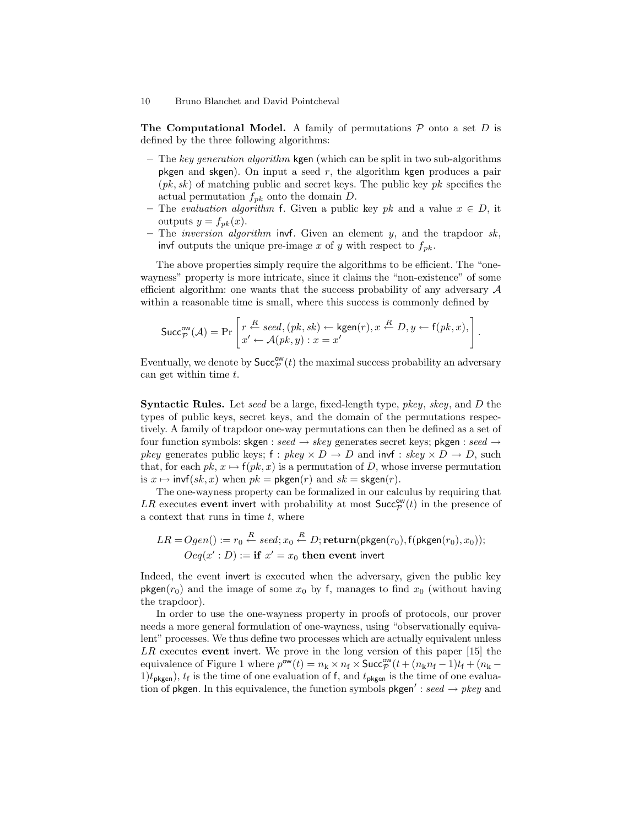**The Computational Model.** A family of permutations  $P$  onto a set D is defined by the three following algorithms:

- The key generation algorithm kgen (which can be split in two sub-algorithms pkgen and skgen). On input a seed  $r$ , the algorithm kgen produces a pair  $(pk, sk)$  of matching public and secret keys. The public key pk specifies the actual permutation  $f_{pk}$  onto the domain D.
- The *evaluation algorithm* f. Given a public key pk and a value  $x \in D$ , it outputs  $y = f_{pk}(x)$ .
- The *inversion algorithm* invf. Given an element y, and the trapdoor  $sk$ , invf outputs the unique pre-image x of y with respect to  $f_{pk}$ .

The above properties simply require the algorithms to be efficient. The "onewayness" property is more intricate, since it claims the "non-existence" of some efficient algorithm: one wants that the success probability of any adversary  $A$ within a reasonable time is small, where this success is commonly defined by

$$
\text{Succ}^{\text{ow}}_{\mathcal{P}}(\mathcal{A}) = \Pr\left[r \stackrel{R}{\leftarrow} seed, (pk, sk) \leftarrow \text{kgen}(r), x \stackrel{R}{\leftarrow} D, y \leftarrow f(pk, x), \right] \\ x' \leftarrow \mathcal{A}(pk, y) : x = x'
$$

.

Eventually, we denote by  $\mathsf{Succ}^{\mathsf{ow}}_{\mathcal{P}}(t)$  the maximal success probability an adversary can get within time t.

**Syntactic Rules.** Let seed be a large, fixed-length type, *pkey*, *skey*, and D the types of public keys, secret keys, and the domain of the permutations respectively. A family of trapdoor one-way permutations can then be defined as a set of four function symbols: skgen : seed  $\rightarrow$  skey generates secret keys; pkgen : seed  $\rightarrow$ pkey generates public keys; f : pkey  $\times D \to D$  and invf : skey  $\times D \to D$ , such that, for each  $pk$ ,  $x \mapsto f(pk, x)$  is a permutation of D, whose inverse permutation is  $x \mapsto \text{invf}(sk, x)$  when  $pk = pkgen(r)$  and  $sk = skgen(r)$ .

The one-wayness property can be formalized in our calculus by requiring that LR executes event invert with probability at most  $\mathsf{Succ}^{\mathsf{ow}}_{\mathcal{P}}(t)$  in the presence of a context that runs in time  $t$ , where

$$
LR = Ogen() := r_0 \stackrel{R}{\leftarrow} seed; x_0 \stackrel{R}{\leftarrow} D; \textbf{return}(\text{pkgen}(r_0), f(\text{pkgen}(r_0), x_0));
$$
  

$$
Oeq(x': D) := \textbf{if } x' = x_0 \textbf{ then event invert}
$$

Indeed, the event invert is executed when the adversary, given the public key **pkgen**( $r_0$ ) and the image of some  $x_0$  by f, manages to find  $x_0$  (without having the trapdoor).

In order to use the one-wayness property in proofs of protocols, our prover needs a more general formulation of one-wayness, using "observationally equivalent" processes. We thus define two processes which are actually equivalent unless  $LR$  executes event invert. We prove in the long version of this paper [15] the equivalence of Figure 1 where  $p^{\mathsf{ow}}(t) = n_{k} \times n_{f} \times \text{Succ}_{\mathcal{P}}^{\mathsf{ow}}(t + (n_{k}n_{f} - 1)t_{f} + (n_{k} 1/t_{\text{pkgen}}$ ,  $t_f$  is the time of one evaluation of f, and  $t_{\text{pkgen}}$  is the time of one evaluation of pkgen. In this equivalence, the function symbols pkgen': seed  $\rightarrow$  pkey and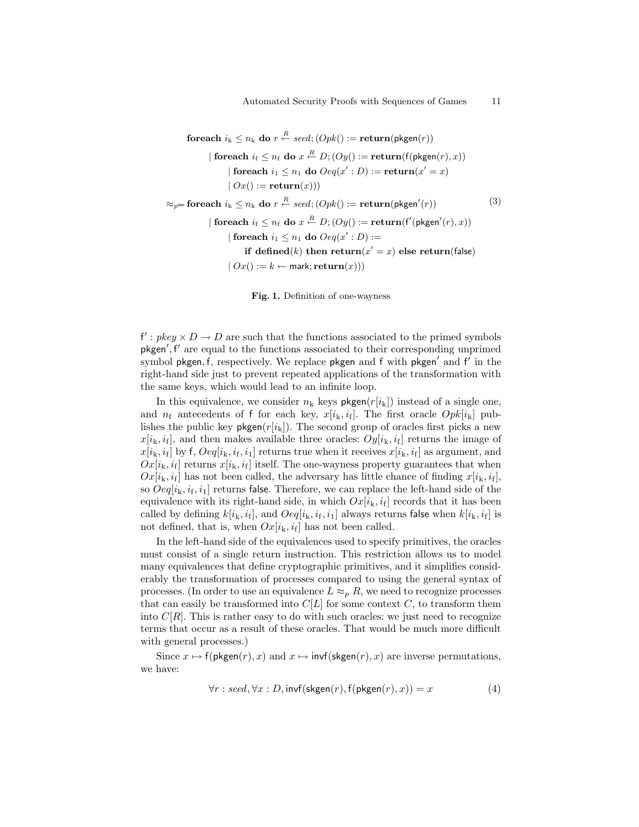\n**for each** 
$$
i_k \leq n_k
$$
 **do**  $r \stackrel{R}{\leftarrow} seed$ ;  $(Opk()$  :=  $return(\mathsf{pkgen}(r))$  | **for**  $i_f \leq n_f$  **do**  $x \stackrel{R}{\leftarrow} D$ ;  $(Oy()$  :=  $return(f(\mathsf{pkgen}(r), x))$  | **for**  $i_1 \leq n_1$  **do**  $Oeq(x' : D)$  :=  $return(x' = x)$  |  $Ox()$  :=  $return(x))$  |\n

\n\n $\approx_{p^{\text{ow}}}$  **for**  $i_k \leq n_k$  **do**  $r \stackrel{R}{\leftarrow} seed$ ;  $(Opk()$  :=  $return(\mathsf{pkgen}'(r))$  (3) |\n

\n\n**for**  $i_k \leq n_f$  **do**  $x \stackrel{R}{\leftarrow} D$ ;  $(Oy()$  :=  $return(f'(\mathsf{pkgen}'(r), x))$  |\n

\n\n**for**  $i_1 \leq n_1$  **do**  $Oeq(x' : D)$  :=  $if$  **defined**( $k$ ) **then**  $return(x' = x)$  **else**  $return(\mathsf{false})$  |\n

\n\n $Ox()$  :=  $k \leftarrow \text{mark}$ ;  $\text{return}(x))$ \n

Fig. 1. Definition of one-wayness

 $f': pkey \times D \to D$  are such that the functions associated to the primed symbols pkgen', f' are equal to the functions associated to their corresponding unprimed symbol pkgen,  $\overline{f}$ , respectively. We replace pkgen and  $\overline{f}$  with pkgen' and  $\overline{f}'$  in the right-hand side just to prevent repeated applications of the transformation with the same keys, which would lead to an infinite loop.

In this equivalence, we consider  $n_k$  keys pkgen( $r[i_k]$ ) instead of a single one, and  $n_f$  antecedents of f for each key,  $x[i_k, i_f]$ . The first oracle  $Opk[i_k]$  publishes the public key pkgen( $r[i_k]$ ). The second group of oracles first picks a new  $x[i_k, i_f]$ , and then makes available three oracles:  $Oy[i_k, i_f]$  returns the image of  $x[i_k, i_l]$  by f,  $Oeq[i_k, i_l, i_l]$  returns true when it receives  $x[i_k, i_l]$  as argument, and  $Ox[i_k, i_f]$  returns  $x[i_k, i_f]$  itself. The one-wayness property guarantees that when  $Ox[i_k, i_f]$  has not been called, the adversary has little chance of finding  $x[i_k, i_f]$ , so  $Oeq[i_{\rm k},i_{\rm f},i_{\rm 1}]$  returns false. Therefore, we can replace the left-hand side of the equivalence with its right-hand side, in which  $Ox[i_k, i_f]$  records that it has been called by defining  $k[i_k, i_f]$ , and  $Oeq[i_k, i_f, i_1]$  always returns false when  $k[i_k, i_f]$  is not defined, that is, when  $Ox[i_k, i_f]$  has not been called.

In the left-hand side of the equivalences used to specify primitives, the oracles must consist of a single return instruction. This restriction allows us to model many equivalences that define cryptographic primitives, and it simplifies considerably the transformation of processes compared to using the general syntax of processes. (In order to use an equivalence  $L \approx_p R$ , we need to recognize processes that can easily be transformed into  $C[L]$  for some context C, to transform them into  $C[R]$ . This is rather easy to do with such oracles: we just need to recognize terms that occur as a result of these oracles. That would be much more difficult with general processes.)

Since  $x \mapsto f(\mathsf{pkgen}(r), x)$  and  $x \mapsto \mathsf{invf}(\mathsf{skgen}(r), x)$  are inverse permutations, we have:

$$
\forall r: seed, \forall x : D, \text{invf}(\text{skgen}(r), f(\text{pkgen}(r), x)) = x \tag{4}
$$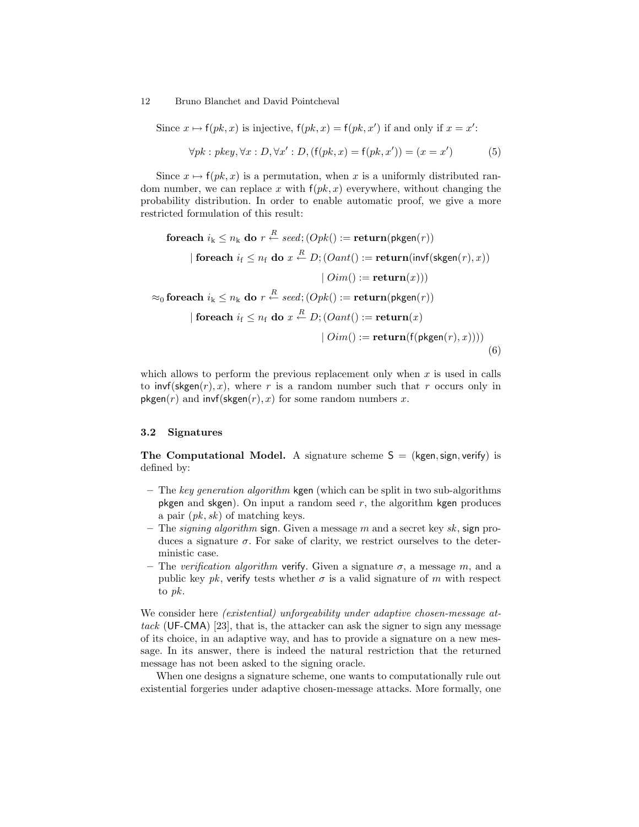Since  $x \mapsto f(pk, x)$  is injective,  $f(pk, x) = f(pk, x')$  if and only if  $x = x'$ :

$$
\forall pk : pkey, \forall x : D, \forall x' : D, (f(pk, x) = f(pk, x')) = (x = x')
$$
 (5)

Since  $x \mapsto f(pk, x)$  is a permutation, when x is a uniformly distributed random number, we can replace x with  $f(pk, x)$  everywhere, without changing the probability distribution. In order to enable automatic proof, we give a more restricted formulation of this result:

\n**forecast** 
$$
i_k \leq n_k
$$
 **do**  $r \stackrel{R}{\leftarrow} seed$ ;  $(Opk()$  := **return**( $pkgen(r)$ )  
\n $|$  **forecast**  $i_f \leq n_f$  **do**  $x \stackrel{R}{\leftarrow} D$ ;  $(Oant()$  := **return**( $invf(skgen(r), x)$ )  
\n $| \text{ } Oim()$  := **return** $(x)$ )  
\n $\approx_0$  **forecast**  $i_k \leq n_k$  **do**  $r \stackrel{R}{\leftarrow} seed$ ;  $(Opk()$  := **return**( $pkgen(r)$ )  
\n $| \text{ Green  $i_f \leq n_f$  **do**  $x \stackrel{R}{\leftarrow} D$ ;  $(Oant()$  := **return** $(x)$   
\n $| \text{ } Oim()$  := **return** $(f(pkgen(r), x))$ )\n$ 

\n\n**(6)**\n

which allows to perform the previous replacement only when  $x$  is used in calls to  $invf$ (skgen $(r), x$ ), where r is a random number such that r occurs only in  $p\text{kgen}(r)$  and  $invf(\text{skgen}(r), x)$  for some random numbers x.

### 3.2 Signatures

The Computational Model. A signature scheme  $S = (kgen, sign, verify)$  is defined by:

- $-$  The key generation algorithm kgen (which can be split in two sub-algorithms pkgen and skgen). On input a random seed  $r$ , the algorithm kgen produces a pair  $(pk, sk)$  of matching keys.
- The *signing algorithm* sign. Given a message  $m$  and a secret key  $sk$ , sign produces a signature  $\sigma$ . For sake of clarity, we restrict ourselves to the deterministic case.
- The verification algorithm verify. Given a signature  $\sigma$ , a message m, and a public key pk, verify tests whether  $\sigma$  is a valid signature of m with respect to pk.

We consider here *(existential)* unforgeability under adaptive chosen-message attack (UF-CMA) [23], that is, the attacker can ask the signer to sign any message of its choice, in an adaptive way, and has to provide a signature on a new message. In its answer, there is indeed the natural restriction that the returned message has not been asked to the signing oracle.

When one designs a signature scheme, one wants to computationally rule out existential forgeries under adaptive chosen-message attacks. More formally, one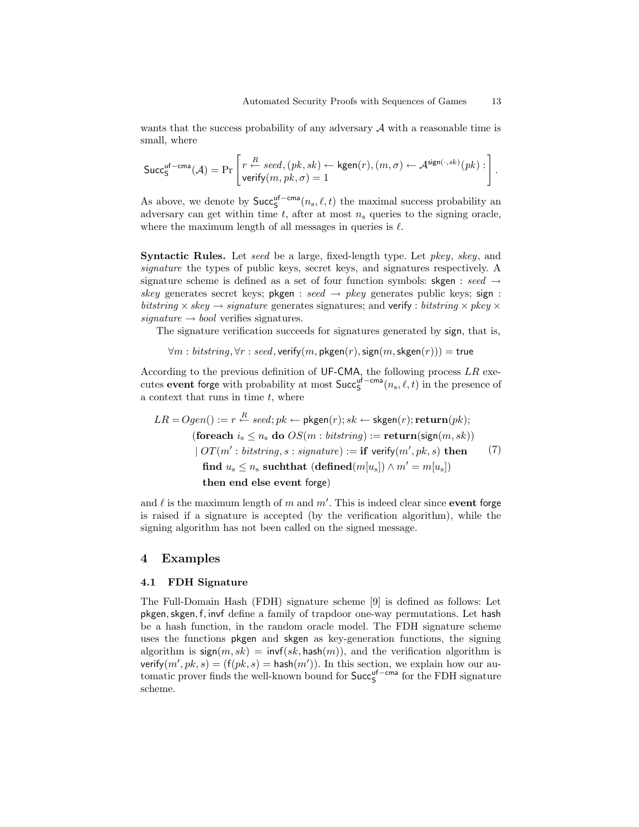wants that the success probability of any adversary  $A$  with a reasonable time is small, where

$$
\mathsf{Succ}^{\text{uf-cma}}_{\mathsf{S}}(\mathcal{A}) = \Pr\left[ r \stackrel{R}{\leftarrow} seed, (pk, sk) \leftarrow \mathsf{kgen}(r), (m, \sigma) \leftarrow \mathcal{A}^{\text{sign}(\cdot, sk)}(pk) : \right] .
$$

As above, we denote by  $\mathsf{Succ}^{\mathsf{uf-cma}}_{\mathsf{S}}(n_{s}, \ell, t)$  the maximal success probability an adversary can get within time t, after at most  $n_s$  queries to the signing oracle, where the maximum length of all messages in queries is  $\ell$ .

Syntactic Rules. Let seed be a large, fixed-length type. Let pkey, skey, and signature the types of public keys, secret keys, and signatures respectively. A signature scheme is defined as a set of four function symbols: skgen : seed  $\rightarrow$ skey generates secret keys; pkgen : seed  $\rightarrow$  pkey generates public keys; sign : bitstring  $\times$  skey  $\rightarrow$  signature generates signatures; and verify : bitstring  $\times$  pkey  $\times$ signature  $\rightarrow$  bool verifies signatures.

The signature verification succeeds for signatures generated by sign, that is,

$$
\forall m: \text{ } bitstring, \forall r: \text{ }seed, \text{ } verify(m, \text{pkgen}(r), \text{sign}(m, \text{skgen}(r))) = \text{true}
$$

According to the previous definition of UF-CMA, the following process  $LR$  executes event forge with probability at most  $\textsf{Succ}^{\text{uf-cma}}_S(n_s, \ell, t)$  in the presence of a context that runs in time  $t$ , where

$$
LR = Ogen() := r \xleftarrow{R} seed; pk \leftarrow pkgen(r); sk \leftarrow skgen(r); return(pk);
$$
  
(**forecast**  $i_s \leq n_s$  **do**  $OS(m : bitstring) := return(sign(m, sk))$   
 $| OT(m': bitstring, s: signature) :=$ **if** verify(m', pk, s) **then**  
**find**  $u_s \leq n_s$  such that (defined(m[u\_s])  $\wedge m' = m[u_s])$   
**then end else event forget**)

and  $\ell$  is the maximum length of m and  $m'$ . This is indeed clear since event forge is raised if a signature is accepted (by the verification algorithm), while the signing algorithm has not been called on the signed message.

#### 4 Examples

## 4.1 FDH Signature

The Full-Domain Hash (FDH) signature scheme [9] is defined as follows: Let pkgen, skgen, f, invf define a family of trapdoor one-way permutations. Let hash be a hash function, in the random oracle model. The FDH signature scheme uses the functions pkgen and skgen as key-generation functions, the signing algorithm is  $sign(m, sk) = invf(sk, hash(m)$ , and the verification algorithm is verify $(m', pk, s) = (f(pk, s) = hash(m'))$ . In this section, we explain how our automatic prover finds the well-known bound for Succu<sup>t-cma</sup> for the FDH signature scheme.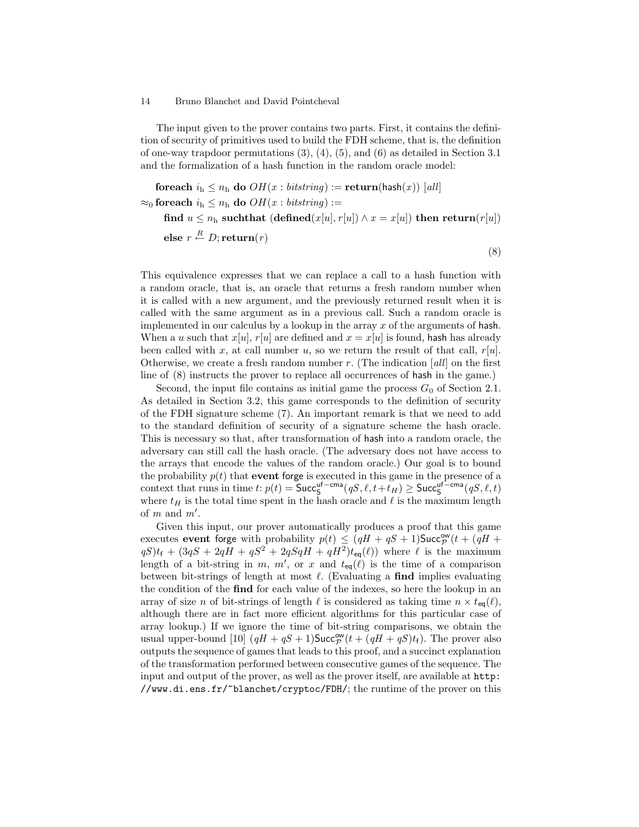The input given to the prover contains two parts. First, it contains the definition of security of primitives used to build the FDH scheme, that is, the definition of one-way trapdoor permutations (3), (4), (5), and (6) as detailed in Section 3.1 and the formalization of a hash function in the random oracle model:

foreach  $i_{\rm h} \leq n_{\rm h}$  do  $OH(x: \text{bitstring}) := \text{return}(\text{hash}(x))$  [all]  $\approx_0$  foreach  $i_h \leq n_h$  do  $OH(x : bitstring) :=$ find  $u \leq n_h$  such that  $(\text{defined}(x[u], r[u]) \wedge x = x[u])$  then return $(r[u])$ else  $r \stackrel{R}{\leftarrow} D;$ return $(r)$ (8)

This equivalence expresses that we can replace a call to a hash function with a random oracle, that is, an oracle that returns a fresh random number when it is called with a new argument, and the previously returned result when it is called with the same argument as in a previous call. Such a random oracle is implemented in our calculus by a lookup in the array  $x$  of the arguments of hash. When a u such that  $x[u], r[u]$  are defined and  $x = x[u]$  is found, hash has already been called with x, at call number u, so we return the result of that call,  $r[u]$ . Otherwise, we create a fresh random number r. (The indication  $|all|$  on the first line of (8) instructs the prover to replace all occurrences of hash in the game.)

Second, the input file contains as initial game the process  $G_0$  of Section 2.1. As detailed in Section 3.2, this game corresponds to the definition of security of the FDH signature scheme (7). An important remark is that we need to add to the standard definition of security of a signature scheme the hash oracle. This is necessary so that, after transformation of hash into a random oracle, the adversary can still call the hash oracle. (The adversary does not have access to the arrays that encode the values of the random oracle.) Our goal is to bound the probability  $p(t)$  that **event** forge is executed in this game in the presence of a context that runs in time  $t: p(t) = \text{Succ}_{S}^{\text{uf-cma}}(qS, \ell, t+t_H) \ge \text{Succ}_{S}^{\text{uf-cma}}(qS, \ell, t)$ where  $t_H$  is the total time spent in the hash oracle and  $\ell$  is the maximum length of  $m$  and  $m'$ .

Given this input, our prover automatically produces a proof that this game executes event forge with probability  $p(t) \leq (qH + qS + 1)$ Succ $_{\mathcal{P}}^{\mathsf{ow}}(t + (qH +$  $qS)t_f + (3qS + 2qH + qS^2 + 2qSqH + qH^2)t_{eq}(\ell)$  where  $\ell$  is the maximum length of a bit-string in m, m', or x and  $t_{eq}(\ell)$  is the time of a comparison between bit-strings of length at most  $\ell$ . (Evaluating a find implies evaluating the condition of the find for each value of the indexes, so here the lookup in an array of size n of bit-strings of length  $\ell$  is considered as taking time  $n \times t_{eq}(\ell)$ , although there are in fact more efficient algorithms for this particular case of array lookup.) If we ignore the time of bit-string comparisons, we obtain the usual upper-bound [10]  $(qH + qS + 1)$ Succ<sup>ow</sup> $(t + (qH + qS)t_f)$ . The prover also outputs the sequence of games that leads to this proof, and a succinct explanation of the transformation performed between consecutive games of the sequence. The input and output of the prover, as well as the prover itself, are available at http: //www.di.ens.fr/~blanchet/cryptoc/FDH/; the runtime of the prover on this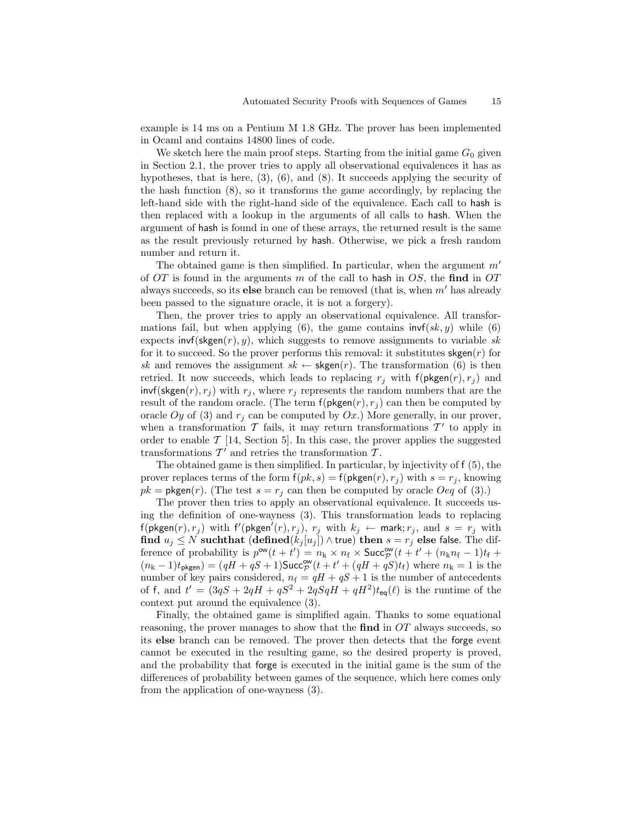example is 14 ms on a Pentium M 1.8 GHz. The prover has been implemented in Ocaml and contains 14800 lines of code.

We sketch here the main proof steps. Starting from the initial game  $G_0$  given in Section 2.1, the prover tries to apply all observational equivalences it has as hypotheses, that is here, (3), (6), and (8). It succeeds applying the security of the hash function (8), so it transforms the game accordingly, by replacing the left-hand side with the right-hand side of the equivalence. Each call to hash is then replaced with a lookup in the arguments of all calls to hash. When the argument of hash is found in one of these arrays, the returned result is the same as the result previously returned by hash. Otherwise, we pick a fresh random number and return it.

The obtained game is then simplified. In particular, when the argument  $m'$ of OT is found in the arguments m of the call to hash in OS, the find in OT always succeeds, so its else branch can be removed (that is, when  $m'$  has already been passed to the signature oracle, it is not a forgery).

Then, the prover tries to apply an observational equivalence. All transformations fail, but when applying (6), the game contains  $\text{invf}(sk, y)$  while (6) expects invf(skgen(r), y), which suggests to remove assignments to variable sk for it to succeed. So the prover performs this removal: it substitutes  $\mathsf{skgen}(r)$  for sk and removes the assignment sk  $\leftarrow$  skgen(r). The transformation (6) is then retried. It now succeeds, which leads to replacing  $r_j$  with  $f(\mathsf{pkgen}(r), r_j)$  and  $\textsf{invf}(\textsf{skgen}(r), r_j)$  with  $r_j$ , where  $r_j$  represents the random numbers that are the result of the random oracle. (The term  $f(\mathsf{pkgen}(r), r_i)$  can then be computed by oracle Oy of (3) and  $r_i$  can be computed by Ox.) More generally, in our prover, when a transformation  $\mathcal T$  fails, it may return transformations  $\mathcal T'$  to apply in order to enable  $\mathcal{T}$  [14, Section 5]. In this case, the prover applies the suggested transformations  $T'$  and retries the transformation  $T$ .

The obtained game is then simplified. In particular, by injectivity of f (5), the prover replaces terms of the form  $f(pk, s) = f(\mathsf{pkgen}(r), r_i)$  with  $s = r_i$ , knowing  $pk = pkgen(r)$ . (The test  $s = r_j$  can then be computed by oracle  $Oeq$  of (3).)

The prover then tries to apply an observational equivalence. It succeeds using the definition of one-wayness (3). This transformation leads to replacing  $f(\bar{p}kgen(r), r_j)$  with  $f'(pkgen'(r), r_j), r_j$  with  $k_j \leftarrow$  mark;  $r_j$ , and  $s = r_j$  with find  $u_j \leq N$  such that  $(\text{defined}(k_i[u_j]) \wedge \text{true})$  then  $s = r_j$  else false. The difference of probability is  $p^{\text{ow}}(t+t') = n_k \times n_f \times \text{Succ}^{\text{ow}}_p(t+t'+(n_k n_f-1)t_f+$  $(n_{k} - 1)t_{\text{pkgen}} = (qH + qS + 1)Succ^{ow}_{\mathcal{P}}(t + t' + (qH + qS)t_{\text{f}})$  where  $n_{k} = 1$  is the number of key pairs considered,  $n_f = qH + qS + 1$  is the number of antecedents of f, and  $t' = (3qS + 2qH + qS^2 + 2qSqH + qH^2)t_{eq}(\ell)$  is the runtime of the context put around the equivalence (3).

Finally, the obtained game is simplified again. Thanks to some equational reasoning, the prover manages to show that the **find** in  $OT$  always succeeds, so its else branch can be removed. The prover then detects that the forge event cannot be executed in the resulting game, so the desired property is proved, and the probability that forge is executed in the initial game is the sum of the differences of probability between games of the sequence, which here comes only from the application of one-wayness (3).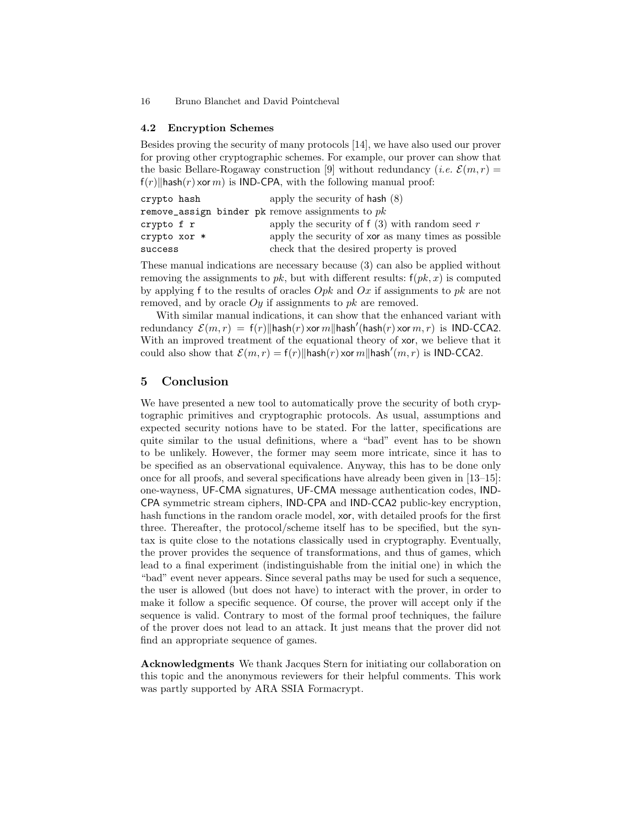### 4.2 Encryption Schemes

Besides proving the security of many protocols [14], we have also used our prover for proving other cryptographic schemes. For example, our prover can show that the basic Bellare-Rogaway construction [9] without redundancy (*i.e.*  $\mathcal{E}(m,r)$ )  $f(r)$ ||hash(r) xor m) is IND-CPA, with the following manual proof:

| crypto hash                                        | apply the security of hash $(8)$                           |
|----------------------------------------------------|------------------------------------------------------------|
| remove_assign binder pk remove assignments to $pk$ |                                                            |
| crypto f r                                         | apply the security of $f(3)$ with random seed r            |
| crypto xor *                                       | apply the security of <b>xor</b> as many times as possible |
| success                                            | check that the desired property is proved                  |

These manual indications are necessary because (3) can also be applied without removing the assignments to pk, but with different results:  $f(pk, x)$  is computed by applying f to the results of oracles  $Opk$  and  $Ox$  if assignments to pk are not removed, and by oracle  $O<sub>y</sub>$  if assignments to pk are removed.

With similar manual indications, it can show that the enhanced variant with redundancy  $\mathcal{E}(m,r) = f(r) \|\textsf{hash}(r) \times \textsf{or} \, m\|\textsf{hash}(r) \times \textsf{or} \, m, r)$  is IND-CCA2. With an improved treatment of the equational theory of xor, we believe that it could also show that  $\mathcal{E}(m, r) = f(r) \|\text{hash}(r) \times \text{or } m\|\text{hash}'(m, r)$  is IND-CCA2.

# 5 Conclusion

We have presented a new tool to automatically prove the security of both cryptographic primitives and cryptographic protocols. As usual, assumptions and expected security notions have to be stated. For the latter, specifications are quite similar to the usual definitions, where a "bad" event has to be shown to be unlikely. However, the former may seem more intricate, since it has to be specified as an observational equivalence. Anyway, this has to be done only once for all proofs, and several specifications have already been given in [13–15]: one-wayness, UF-CMA signatures, UF-CMA message authentication codes, IND-CPA symmetric stream ciphers, IND-CPA and IND-CCA2 public-key encryption, hash functions in the random oracle model, xor, with detailed proofs for the first three. Thereafter, the protocol/scheme itself has to be specified, but the syntax is quite close to the notations classically used in cryptography. Eventually, the prover provides the sequence of transformations, and thus of games, which lead to a final experiment (indistinguishable from the initial one) in which the "bad" event never appears. Since several paths may be used for such a sequence, the user is allowed (but does not have) to interact with the prover, in order to make it follow a specific sequence. Of course, the prover will accept only if the sequence is valid. Contrary to most of the formal proof techniques, the failure of the prover does not lead to an attack. It just means that the prover did not find an appropriate sequence of games.

Acknowledgments We thank Jacques Stern for initiating our collaboration on this topic and the anonymous reviewers for their helpful comments. This work was partly supported by ARA SSIA Formacrypt.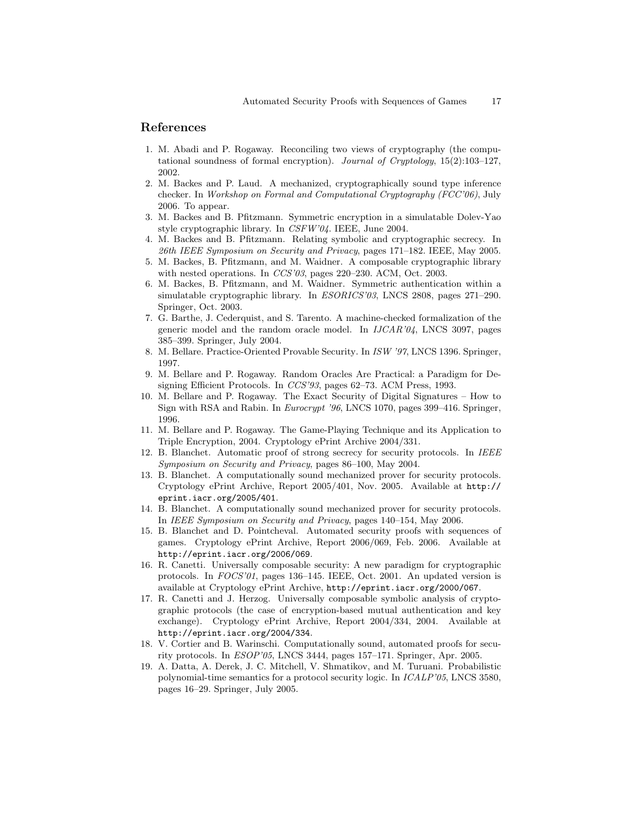## References

- 1. M. Abadi and P. Rogaway. Reconciling two views of cryptography (the computational soundness of formal encryption). Journal of Cryptology, 15(2):103–127, 2002.
- 2. M. Backes and P. Laud. A mechanized, cryptographically sound type inference checker. In Workshop on Formal and Computational Cryptography (FCC'06), July 2006. To appear.
- 3. M. Backes and B. Pfitzmann. Symmetric encryption in a simulatable Dolev-Yao style cryptographic library. In CSFW'04. IEEE, June 2004.
- 4. M. Backes and B. Pfitzmann. Relating symbolic and cryptographic secrecy. In 26th IEEE Symposium on Security and Privacy, pages 171–182. IEEE, May 2005.
- 5. M. Backes, B. Pfitzmann, and M. Waidner. A composable cryptographic library with nested operations. In CCS'03, pages 220–230. ACM, Oct. 2003.
- 6. M. Backes, B. Pfitzmann, and M. Waidner. Symmetric authentication within a simulatable cryptographic library. In ESORICS'03, LNCS 2808, pages 271–290. Springer, Oct. 2003.
- 7. G. Barthe, J. Cederquist, and S. Tarento. A machine-checked formalization of the generic model and the random oracle model. In IJCAR'04, LNCS 3097, pages 385–399. Springer, July 2004.
- 8. M. Bellare. Practice-Oriented Provable Security. In ISW '97, LNCS 1396. Springer, 1997.
- 9. M. Bellare and P. Rogaway. Random Oracles Are Practical: a Paradigm for Designing Efficient Protocols. In CCS'93, pages 62–73. ACM Press, 1993.
- 10. M. Bellare and P. Rogaway. The Exact Security of Digital Signatures How to Sign with RSA and Rabin. In Eurocrypt '96, LNCS 1070, pages 399–416. Springer, 1996.
- 11. M. Bellare and P. Rogaway. The Game-Playing Technique and its Application to Triple Encryption, 2004. Cryptology ePrint Archive 2004/331.
- 12. B. Blanchet. Automatic proof of strong secrecy for security protocols. In IEEE Symposium on Security and Privacy, pages 86–100, May 2004.
- 13. B. Blanchet. A computationally sound mechanized prover for security protocols. Cryptology ePrint Archive, Report 2005/401, Nov. 2005. Available at http:// eprint.iacr.org/2005/401.
- 14. B. Blanchet. A computationally sound mechanized prover for security protocols. In IEEE Symposium on Security and Privacy, pages 140–154, May 2006.
- 15. B. Blanchet and D. Pointcheval. Automated security proofs with sequences of games. Cryptology ePrint Archive, Report 2006/069, Feb. 2006. Available at http://eprint.iacr.org/2006/069.
- 16. R. Canetti. Universally composable security: A new paradigm for cryptographic protocols. In FOCS'01, pages 136–145. IEEE, Oct. 2001. An updated version is available at Cryptology ePrint Archive, http://eprint.iacr.org/2000/067.
- 17. R. Canetti and J. Herzog. Universally composable symbolic analysis of cryptographic protocols (the case of encryption-based mutual authentication and key exchange). Cryptology ePrint Archive, Report 2004/334, 2004. Available at http://eprint.iacr.org/2004/334.
- 18. V. Cortier and B. Warinschi. Computationally sound, automated proofs for security protocols. In ESOP'05, LNCS 3444, pages 157–171. Springer, Apr. 2005.
- 19. A. Datta, A. Derek, J. C. Mitchell, V. Shmatikov, and M. Turuani. Probabilistic polynomial-time semantics for a protocol security logic. In ICALP'05, LNCS 3580, pages 16–29. Springer, July 2005.